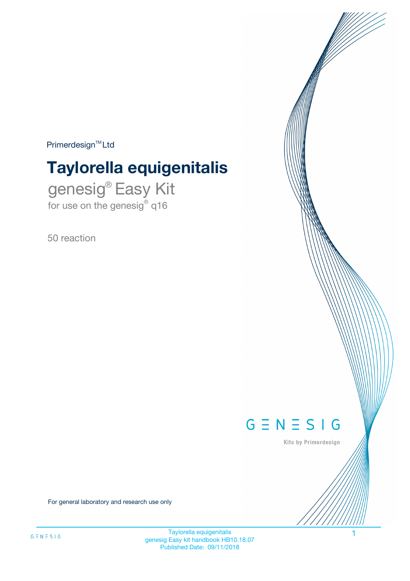$Primerdesign^{\text{TM}}Ltd$ 

# **Taylorella equigenitalis**

genesig® Easy Kit for use on the genesig® q16

50 reaction



Kits by Primerdesign

For general laboratory and research use only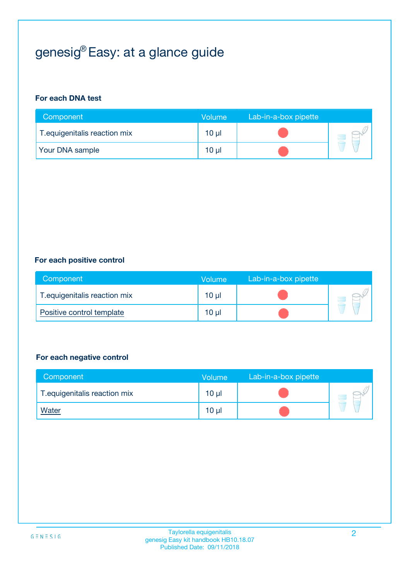## genesig® Easy: at a glance guide

#### **For each DNA test**

| Component                     | <b>Volume</b> | Lab-in-a-box pipette |  |
|-------------------------------|---------------|----------------------|--|
| T. equigenitalis reaction mix | $10 \mu$      |                      |  |
| <b>Your DNA sample</b>        | 10 µl         |                      |  |

#### **For each positive control**

| Component                     | Volume   | Lab-in-a-box pipette |  |
|-------------------------------|----------|----------------------|--|
| T. equigenitalis reaction mix | $10 \mu$ |                      |  |
| Positive control template     | $10 \mu$ |                      |  |

#### **For each negative control**

| Component                     | Volume          | Lab-in-a-box pipette |  |
|-------------------------------|-----------------|----------------------|--|
| T. equigenitalis reaction mix | 10 <sub>µ</sub> |                      |  |
| <u>Water</u>                  | 10 µl           |                      |  |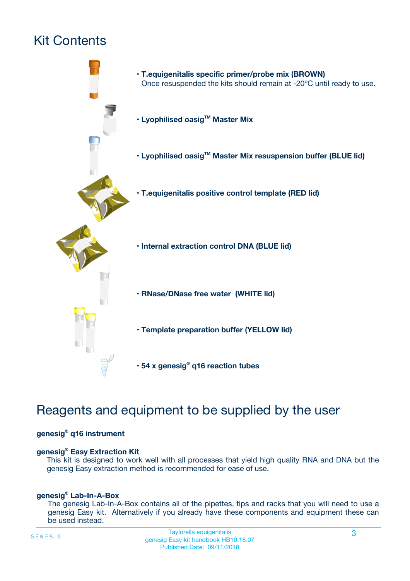## Kit Contents



## Reagents and equipment to be supplied by the user

#### **genesig® q16 instrument**

#### **genesig® Easy Extraction Kit**

This kit is designed to work well with all processes that yield high quality RNA and DNA but the genesig Easy extraction method is recommended for ease of use.

#### **genesig® Lab-In-A-Box**

The genesig Lab-In-A-Box contains all of the pipettes, tips and racks that you will need to use a genesig Easy kit. Alternatively if you already have these components and equipment these can be used instead.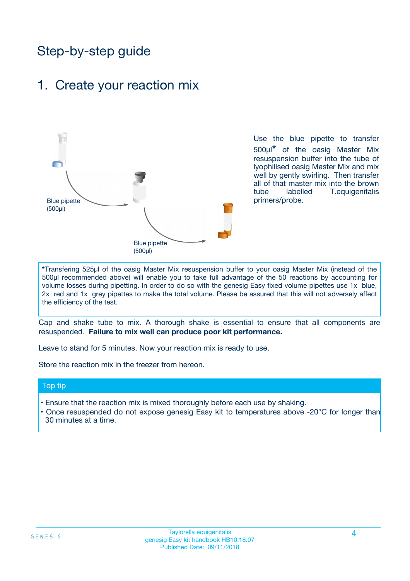## Step-by-step guide

### 1. Create your reaction mix



Use the blue pipette to transfer 500µl**\*** of the oasig Master Mix resuspension buffer into the tube of lyophilised oasig Master Mix and mix well by gently swirling. Then transfer all of that master mix into the brown tube labelled T.equigenitalis primers/probe.

**\***Transfering 525µl of the oasig Master Mix resuspension buffer to your oasig Master Mix (instead of the 500µl recommended above) will enable you to take full advantage of the 50 reactions by accounting for volume losses during pipetting. In order to do so with the genesig Easy fixed volume pipettes use 1x blue, 2x red and 1x grey pipettes to make the total volume. Please be assured that this will not adversely affect the efficiency of the test.

Cap and shake tube to mix. A thorough shake is essential to ensure that all components are resuspended. **Failure to mix well can produce poor kit performance.**

Leave to stand for 5 minutes. Now your reaction mix is ready to use.

Store the reaction mix in the freezer from hereon.

#### Top tip

- Ensure that the reaction mix is mixed thoroughly before each use by shaking.
- **•** Once resuspended do not expose genesig Easy kit to temperatures above -20°C for longer than 30 minutes at a time.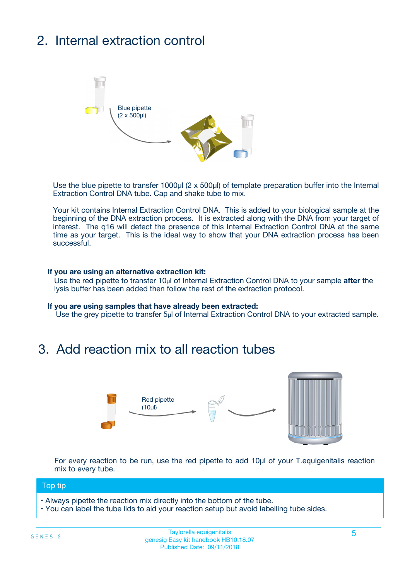## 2. Internal extraction control



Use the blue pipette to transfer 1000µl (2 x 500µl) of template preparation buffer into the Internal Extraction Control DNA tube. Cap and shake tube to mix.

Your kit contains Internal Extraction Control DNA. This is added to your biological sample at the beginning of the DNA extraction process. It is extracted along with the DNA from your target of interest. The q16 will detect the presence of this Internal Extraction Control DNA at the same time as your target. This is the ideal way to show that your DNA extraction process has been **successful.** 

#### **If you are using an alternative extraction kit:**

Use the red pipette to transfer 10µl of Internal Extraction Control DNA to your sample **after** the lysis buffer has been added then follow the rest of the extraction protocol.

#### **If you are using samples that have already been extracted:**

Use the grey pipette to transfer 5µl of Internal Extraction Control DNA to your extracted sample.

### 3. Add reaction mix to all reaction tubes



For every reaction to be run, use the red pipette to add 10µl of your T.equigenitalis reaction mix to every tube.

#### Top tip

- Always pipette the reaction mix directly into the bottom of the tube.
- You can label the tube lids to aid your reaction setup but avoid labelling tube sides.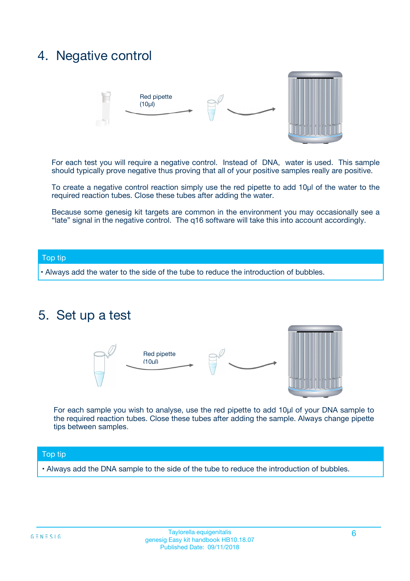### 4. Negative control



For each test you will require a negative control. Instead of DNA, water is used. This sample should typically prove negative thus proving that all of your positive samples really are positive.

To create a negative control reaction simply use the red pipette to add 10µl of the water to the required reaction tubes. Close these tubes after adding the water.

Because some genesig kit targets are common in the environment you may occasionally see a "late" signal in the negative control. The q16 software will take this into account accordingly.

#### Top tip

**•** Always add the water to the side of the tube to reduce the introduction of bubbles.

### 5. Set up a test



For each sample you wish to analyse, use the red pipette to add 10µl of your DNA sample to the required reaction tubes. Close these tubes after adding the sample. Always change pipette tips between samples.

#### Top tip

**•** Always add the DNA sample to the side of the tube to reduce the introduction of bubbles.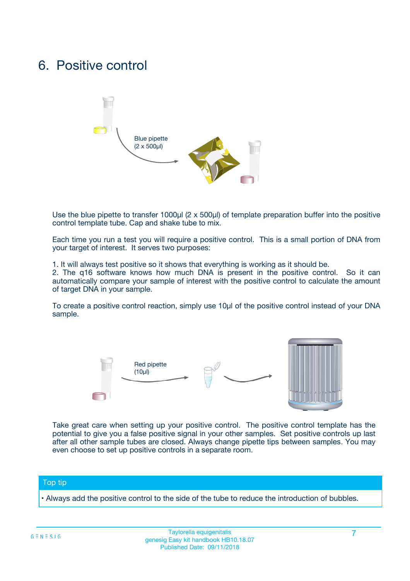### 6. Positive control



Use the blue pipette to transfer 1000µl (2 x 500µl) of template preparation buffer into the positive control template tube. Cap and shake tube to mix.

Each time you run a test you will require a positive control. This is a small portion of DNA from your target of interest. It serves two purposes:

1. It will always test positive so it shows that everything is working as it should be.

2. The q16 software knows how much DNA is present in the positive control. So it can automatically compare your sample of interest with the positive control to calculate the amount of target DNA in your sample.

To create a positive control reaction, simply use 10µl of the positive control instead of your DNA sample.



Take great care when setting up your positive control. The positive control template has the potential to give you a false positive signal in your other samples. Set positive controls up last after all other sample tubes are closed. Always change pipette tips between samples. You may even choose to set up positive controls in a separate room.

#### Top tip

**•** Always add the positive control to the side of the tube to reduce the introduction of bubbles.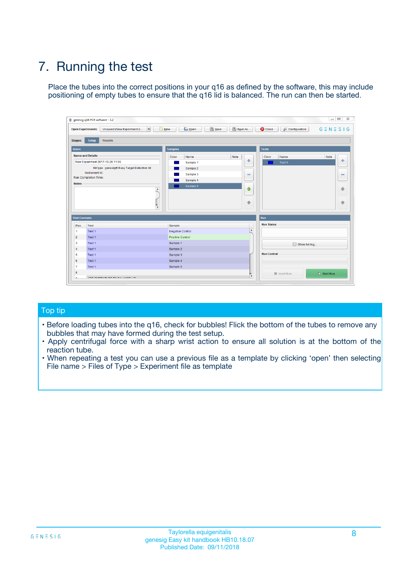## 7. Running the test

Place the tubes into the correct positions in your q16 as defined by the software, this may include positioning of empty tubes to ensure that the q16 lid is balanced. The run can then be started.

|                      | genesig q16 PCR software - 1.2                                               |                                |                              |                                          | $\begin{array}{c c c c} \hline \multicolumn{3}{c }{\textbf{0}} & \multicolumn{3}{c }{\textbf{0}} \end{array}$<br>$\Sigma\!3$ |
|----------------------|------------------------------------------------------------------------------|--------------------------------|------------------------------|------------------------------------------|------------------------------------------------------------------------------------------------------------------------------|
|                      | $\vert \cdot \vert$<br><b>Open Experiments:</b><br>Unsaved (New Experiment 2 | Open<br>Save<br>$\sqrt{9}$ New | Save As                      | <b>C</b> Close<br><b>X</b> Configuration | $G \equiv N \equiv S \mid G$                                                                                                 |
| <b>Stages:</b>       | Setup<br><b>Results</b>                                                      |                                |                              |                                          |                                                                                                                              |
| <b>Notes</b>         |                                                                              | <b>Samples</b>                 |                              | <b>Tests</b>                             |                                                                                                                              |
|                      | <b>Name and Details</b>                                                      | Color<br>Name                  | Note                         | Color<br>Name                            | Note                                                                                                                         |
|                      | New Experiment 2017-10-26 11:06                                              | Sample 1                       | ÷                            | Test 1                                   | ÷                                                                                                                            |
|                      | Kit type: genesig® Easy Target Detection kit                                 | Sample 2                       |                              |                                          |                                                                                                                              |
|                      | Instrument Id.:                                                              | Sample 3                       | $\qquad \qquad \blacksquare$ |                                          | $\qquad \qquad \blacksquare$                                                                                                 |
|                      | <b>Run Completion Time:</b>                                                  | Sample 4                       |                              |                                          |                                                                                                                              |
| <b>Notes</b>         | <b>A</b><br>v                                                                | Sample 5                       | $\triangle$<br>$\oplus$      |                                          | 4<br>₩                                                                                                                       |
| <b>Well Contents</b> |                                                                              |                                |                              | Run                                      |                                                                                                                              |
| Pos.                 | Test                                                                         | Sample                         |                              | <b>Run Status</b>                        |                                                                                                                              |
| $\overline{1}$       | Test 1                                                                       | <b>Negative Control</b>        | $\blacktriangle$             |                                          |                                                                                                                              |
| $\overline{2}$       | Test 1                                                                       | <b>Positive Control</b>        |                              |                                          |                                                                                                                              |
| 3                    | Test 1                                                                       | Sample 1                       |                              | Show full log                            |                                                                                                                              |
| $\overline{4}$       | Test 1                                                                       | Sample 2                       |                              |                                          |                                                                                                                              |
| 5                    | Test 1                                                                       | Sample 3                       |                              | <b>Run Control</b>                       |                                                                                                                              |
| 6                    | Test 1                                                                       | Sample 4                       |                              |                                          |                                                                                                                              |
| $\overline{7}$       | Test 1                                                                       | Sample 5                       |                              |                                          |                                                                                                                              |
| -8                   |                                                                              |                                |                              | Abort Run                                | $\triangleright$ Start Run                                                                                                   |
|                      | <b>JOB FURTY TURE TO BULLMAR LIB</b>                                         |                                | $\overline{\mathbf{v}}$      |                                          |                                                                                                                              |

#### Top tip

- Before loading tubes into the q16, check for bubbles! Flick the bottom of the tubes to remove any bubbles that may have formed during the test setup.
- Apply centrifugal force with a sharp wrist action to ensure all solution is at the bottom of the reaction tube.
- When repeating a test you can use a previous file as a template by clicking 'open' then selecting File name > Files of Type > Experiment file as template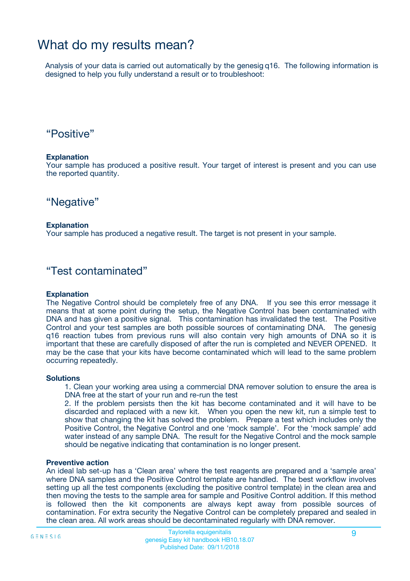### What do my results mean?

Analysis of your data is carried out automatically by the genesig q16. The following information is designed to help you fully understand a result or to troubleshoot:

### "Positive"

#### **Explanation**

Your sample has produced a positive result. Your target of interest is present and you can use the reported quantity.

"Negative"

#### **Explanation**

Your sample has produced a negative result. The target is not present in your sample.

### "Test contaminated"

#### **Explanation**

The Negative Control should be completely free of any DNA. If you see this error message it means that at some point during the setup, the Negative Control has been contaminated with DNA and has given a positive signal. This contamination has invalidated the test. The Positive Control and your test samples are both possible sources of contaminating DNA. The genesig q16 reaction tubes from previous runs will also contain very high amounts of DNA so it is important that these are carefully disposed of after the run is completed and NEVER OPENED. It may be the case that your kits have become contaminated which will lead to the same problem occurring repeatedly.

#### **Solutions**

1. Clean your working area using a commercial DNA remover solution to ensure the area is DNA free at the start of your run and re-run the test

2. If the problem persists then the kit has become contaminated and it will have to be discarded and replaced with a new kit. When you open the new kit, run a simple test to show that changing the kit has solved the problem. Prepare a test which includes only the Positive Control, the Negative Control and one 'mock sample'. For the 'mock sample' add water instead of any sample DNA. The result for the Negative Control and the mock sample should be negative indicating that contamination is no longer present.

#### **Preventive action**

An ideal lab set-up has a 'Clean area' where the test reagents are prepared and a 'sample area' where DNA samples and the Positive Control template are handled. The best workflow involves setting up all the test components (excluding the positive control template) in the clean area and then moving the tests to the sample area for sample and Positive Control addition. If this method is followed then the kit components are always kept away from possible sources of contamination. For extra security the Negative Control can be completely prepared and sealed in the clean area. All work areas should be decontaminated regularly with DNA remover.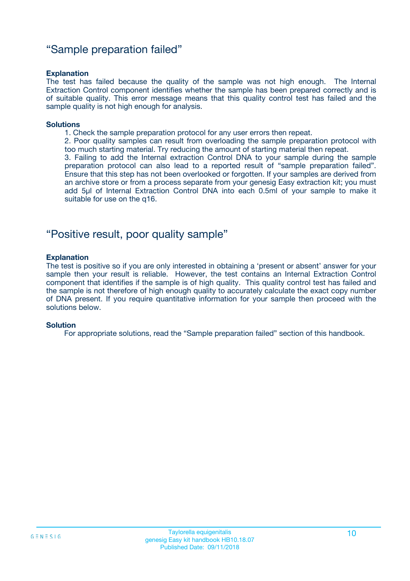### "Sample preparation failed"

#### **Explanation**

The test has failed because the quality of the sample was not high enough. The Internal Extraction Control component identifies whether the sample has been prepared correctly and is of suitable quality. This error message means that this quality control test has failed and the sample quality is not high enough for analysis.

#### **Solutions**

1. Check the sample preparation protocol for any user errors then repeat.

2. Poor quality samples can result from overloading the sample preparation protocol with too much starting material. Try reducing the amount of starting material then repeat.

3. Failing to add the Internal extraction Control DNA to your sample during the sample preparation protocol can also lead to a reported result of "sample preparation failed". Ensure that this step has not been overlooked or forgotten. If your samples are derived from an archive store or from a process separate from your genesig Easy extraction kit; you must add 5µl of Internal Extraction Control DNA into each 0.5ml of your sample to make it suitable for use on the q16.

### "Positive result, poor quality sample"

#### **Explanation**

The test is positive so if you are only interested in obtaining a 'present or absent' answer for your sample then your result is reliable. However, the test contains an Internal Extraction Control component that identifies if the sample is of high quality. This quality control test has failed and the sample is not therefore of high enough quality to accurately calculate the exact copy number of DNA present. If you require quantitative information for your sample then proceed with the solutions below.

#### **Solution**

For appropriate solutions, read the "Sample preparation failed" section of this handbook.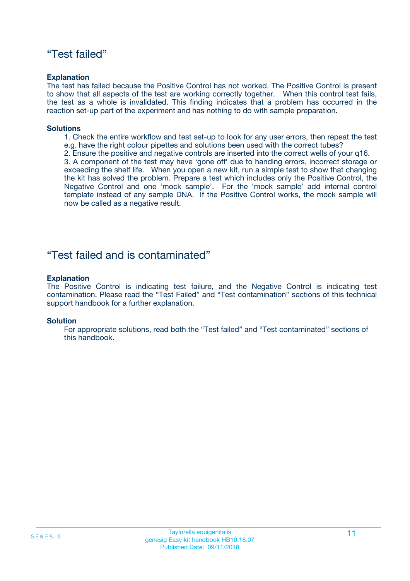### "Test failed"

#### **Explanation**

The test has failed because the Positive Control has not worked. The Positive Control is present to show that all aspects of the test are working correctly together. When this control test fails, the test as a whole is invalidated. This finding indicates that a problem has occurred in the reaction set-up part of the experiment and has nothing to do with sample preparation.

#### **Solutions**

- 1. Check the entire workflow and test set-up to look for any user errors, then repeat the test e.g. have the right colour pipettes and solutions been used with the correct tubes?
- 2. Ensure the positive and negative controls are inserted into the correct wells of your q16.

3. A component of the test may have 'gone off' due to handing errors, incorrect storage or exceeding the shelf life. When you open a new kit, run a simple test to show that changing the kit has solved the problem. Prepare a test which includes only the Positive Control, the Negative Control and one 'mock sample'. For the 'mock sample' add internal control template instead of any sample DNA. If the Positive Control works, the mock sample will now be called as a negative result.

### "Test failed and is contaminated"

#### **Explanation**

The Positive Control is indicating test failure, and the Negative Control is indicating test contamination. Please read the "Test Failed" and "Test contamination" sections of this technical support handbook for a further explanation.

#### **Solution**

For appropriate solutions, read both the "Test failed" and "Test contaminated" sections of this handbook.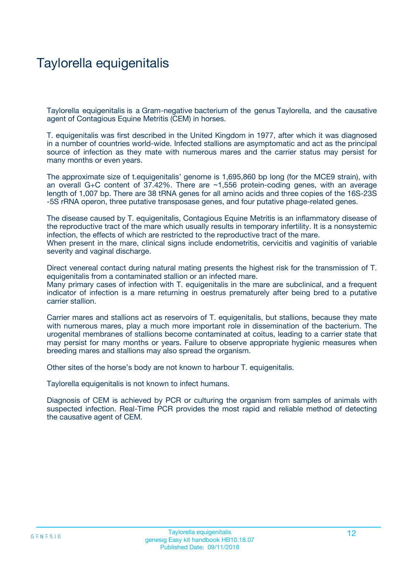## Taylorella equigenitalis

Taylorella equigenitalis is a Gram-negative bacterium of the genus Taylorella, and the causative agent of Contagious Equine Metritis (CEM) in horses.

T. equigenitalis was first described in the United Kingdom in 1977, after which it was diagnosed in a number of countries world-wide. Infected stallions are asymptomatic and act as the principal source of infection as they mate with numerous mares and the carrier status may persist for many months or even years.

The approximate size of t.equigenitalis' genome is 1,695,860 bp long (for the MCE9 strain), with an overall G+C content of 37.42%. There are ~1,556 protein-coding genes, with an average length of 1,007 bp. There are 38 tRNA genes for all amino acids and three copies of the 16S-23S -5S rRNA operon, three putative transposase genes, and four putative phage-related genes.

The disease caused by T. equigenitalis, Contagious Equine Metritis is an inflammatory disease of the reproductive tract of the mare which usually results in temporary infertility. It is a nonsystemic infection, the effects of which are restricted to the reproductive tract of the mare. When present in the mare, clinical signs include endometritis, cervicitis and vaginitis of variable severity and vaginal discharge.

Direct venereal contact during natural mating presents the highest risk for the transmission of T. equigenitalis from a contaminated stallion or an infected mare. Many primary cases of infection with T. equigenitalis in the mare are subclinical, and a frequent indicator of infection is a mare returning in oestrus prematurely after being bred to a putative

carrier stallion. Carrier mares and stallions act as reservoirs of T. equigenitalis, but stallions, because they mate with numerous mares, play a much more important role in dissemination of the bacterium. The

urogenital membranes of stallions become contaminated at coitus, leading to a carrier state that may persist for many months or years. Failure to observe appropriate hygienic measures when breeding mares and stallions may also spread the organism.

Other sites of the horse's body are not known to harbour T. equigenitalis.

Taylorella equigenitalis is not known to infect humans.

Diagnosis of CEM is achieved by PCR or culturing the organism from samples of animals with suspected infection. Real-Time PCR provides the most rapid and reliable method of detecting the causative agent of CEM.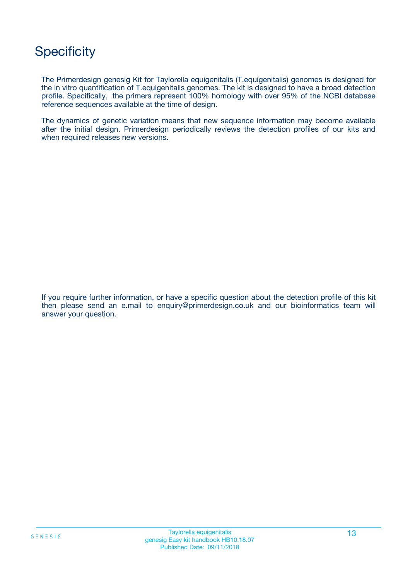## **Specificity**

The Primerdesign genesig Kit for Taylorella equigenitalis (T.equigenitalis) genomes is designed for the in vitro quantification of T.equigenitalis genomes. The kit is designed to have a broad detection profile. Specifically, the primers represent 100% homology with over 95% of the NCBI database reference sequences available at the time of design.

The dynamics of genetic variation means that new sequence information may become available after the initial design. Primerdesign periodically reviews the detection profiles of our kits and when required releases new versions.

If you require further information, or have a specific question about the detection profile of this kit then please send an e.mail to enquiry@primerdesign.co.uk and our bioinformatics team will answer your question.